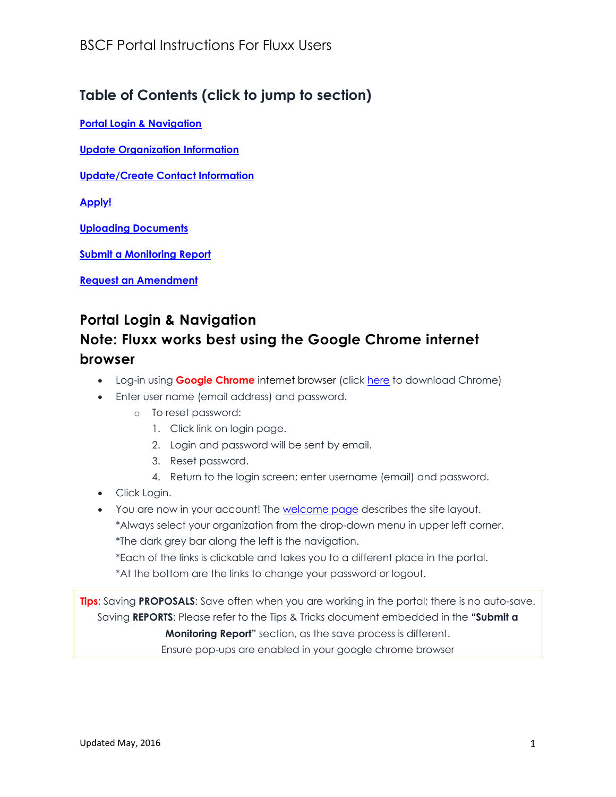## **Table of Contents (click to jump to section)**

**[Portal Login & Navigation](#page-0-0)**

**[Update Organization Information](#page-1-0)**

**Update/Create [Contact Information](#page-1-1)**

**[Apply!](#page-1-2)**

**[Uploading Documents](#page-2-0)**

**[Submit a Monitoring Report](#page-3-0)**

**[Request an Amendment](#page-3-1)**

## <span id="page-0-0"></span>**Portal Login & Navigation**

## **Note: Fluxx works best using the Google Chrome internet browser**

- **•** Log-in using **Google Chrome** internet browser (click [here](https://www.google.com/chrome/browser/desktop/index.html?utm_source=google&utm_medium=sem&utm_campaign=1001342%7cChromeWin10%7cUS%7cen%7cHybrid%7cText%7cBKWS~TopKWDS-Exact&brand=CHBD) to download Chrome)
- Enter user name (email address) and password.
	- o To reset password:
		- 1. Click link on login page.
		- 2. Login and password will be sent by email.
		- 3. Reset password.
		- 4. Return to the login screen; enter username (email) and password.
- Click Login.
- You are now in your account! The **[welcome page](http://www.blueshieldcafoundation.org/welcome-to-fluxx)** describes the site layout. \*Always select your organization from the drop-down menu in upper left corner. \*The dark grey bar along the left is the navigation.

\*Each of the links is clickable and takes you to a different place in the portal.

\*At the bottom are the links to change your password or logout.

**Tips**: Saving **PROPOSALS**: Save often when you are working in the portal; there is no auto-save. Saving **REPORTS**: Please refer to the Tips & Tricks document embedded in the **"Submit a Monitoring Report"** section, as the save process is different. Ensure pop-ups are enabled in your google chrome browser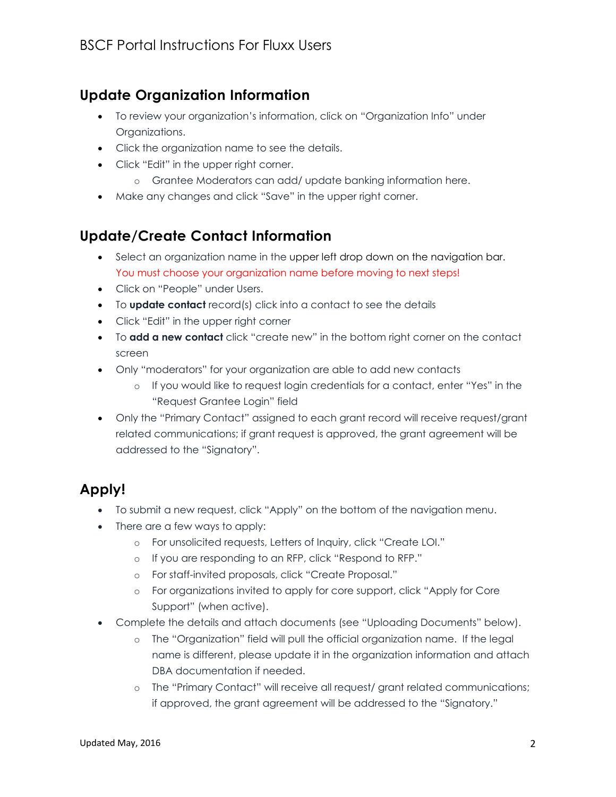# <span id="page-1-0"></span>**Update Organization Information**

- To review your organization's information, click on "Organization Info" under Organizations.
- Click the organization name to see the details.
- Click "Edit" in the upper right corner.
	- o Grantee Moderators can add/ update banking information here.
- Make any changes and click "Save" in the upper right corner.

## <span id="page-1-1"></span>**Update/Create Contact Information**

- Select an organization name in the upper left drop down on the navigation bar. You must choose your organization name before moving to next steps!
- Click on "People" under Users.
- To **update contact** record(s) click into a contact to see the details
- Click "Edit" in the upper right corner
- To **add a new contact** click "create new" in the bottom right corner on the contact screen
- Only "moderators" for your organization are able to add new contacts
	- o If you would like to request login credentials for a contact, enter "Yes" in the "Request Grantee Login" field
- Only the "Primary Contact" assigned to each grant record will receive request/grant related communications; if grant request is approved, the grant agreement will be addressed to the "Signatory".

# <span id="page-1-2"></span>**Apply!**

- To submit a new request, click "Apply" on the bottom of the navigation menu.
- There are a few ways to apply:
	- o For unsolicited requests, Letters of Inquiry, click "Create LOI."
	- o If you are responding to an RFP, click "Respond to RFP."
	- o For staff-invited proposals, click "Create Proposal."
	- o For organizations invited to apply for core support, click "Apply for Core Support" (when active).
- Complete the details and attach documents (see "Uploading Documents" below).
	- o The "Organization" field will pull the official organization name. If the legal name is different, please update it in the organization information and attach DBA documentation if needed.
	- o The "Primary Contact" will receive all request/ grant related communications; if approved, the grant agreement will be addressed to the "Signatory."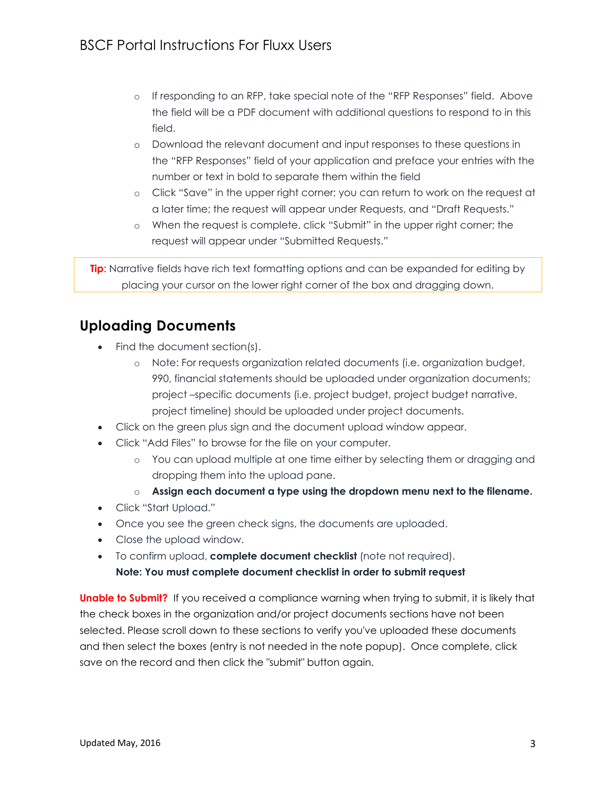- o If responding to an RFP, take special note of the "RFP Responses" field. Above the field will be a PDF document with additional questions to respond to in this field.
- o Download the relevant document and input responses to these questions in the "RFP Responses" field of your application and preface your entries with the number or text in bold to separate them within the field
- o Click "Save" in the upper right corner; you can return to work on the request at a later time; the request will appear under Requests, and "Draft Requests."
- o When the request is complete, click "Submit" in the upper right corner; the request will appear under "Submitted Requests."

**Tip:** Narrative fields have rich text formatting options and can be expanded for editing by placing your cursor on the lower right corner of the box and dragging down.

## <span id="page-2-0"></span>**Uploading Documents**

- Find the document section(s).
	- o Note: For requests organization related documents (i.e. organization budget, 990, financial statements should be uploaded under organization documents; project –specific documents (i.e. project budget, project budget narrative, project timeline) should be uploaded under project documents.
- Click on the green plus sign and the document upload window appear.
- Click "Add Files" to browse for the file on your computer.
	- o You can upload multiple at one time either by selecting them or dragging and dropping them into the upload pane.
	- o **Assign each document a type using the dropdown menu next to the filename.**
- Click "Start Upload."
- Once you see the green check signs, the documents are uploaded.
- Close the upload window.
- To confirm upload, **complete document checklist** (note not required). **Note: You must complete document checklist in order to submit request**

**Unable to Submit?** If you received a compliance warning when trying to submit, it is likely that the check boxes in the organization and/or project documents sections have not been selected. Please scroll down to these sections to verify you've uploaded these documents and then select the boxes (entry is not needed in the note popup). Once complete, click save on the record and then click the "submit" button again.